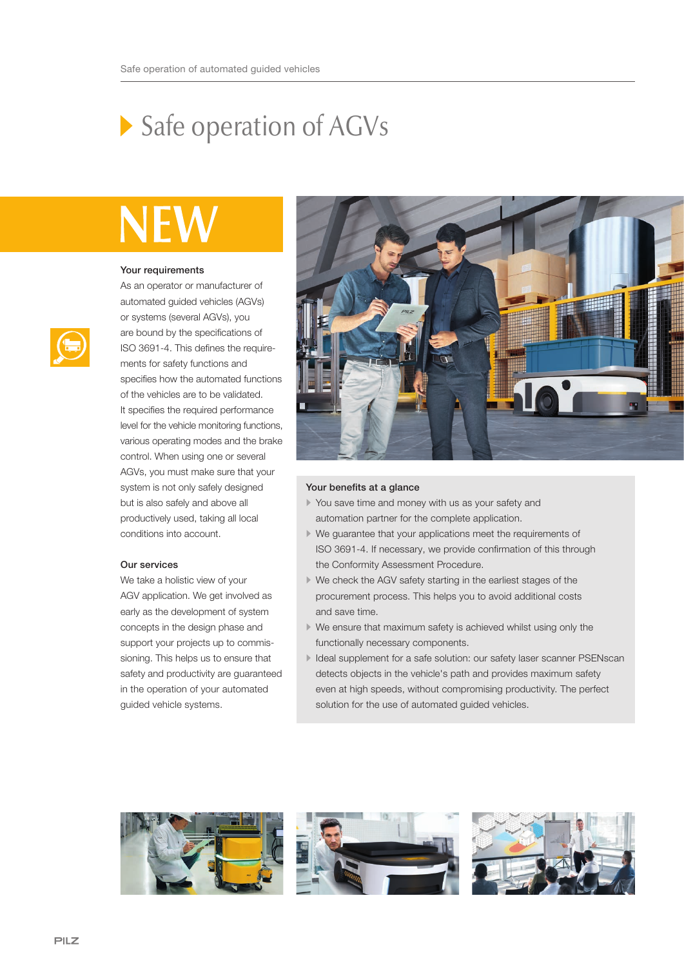# Safe operation of AGVs

# NF

#### Your requirements

As an operator or manufacturer of automated guided vehicles (AGVs) or systems (several AGVs), you are bound by the specifications of ISO 3691-4. This defines the requirements for safety functions and specifies how the automated functions of the vehicles are to be validated. It specifies the required performance level for the vehicle monitoring functions, various operating modes and the brake control. When using one or several AGVs, you must make sure that your system is not only safely designed but is also safely and above all productively used, taking all local conditions into account.

### Our services

We take a holistic view of your AGV application. We get involved as early as the development of system concepts in the design phase and support your projects up to commissioning. This helps us to ensure that safety and productivity are guaranteed in the operation of your automated guided vehicle systems.



## Your benefits at a glance

- You save time and money with us as your safety and automation partner for the complete application.
- We guarantee that your applications meet the requirements of ISO 3691-4. If necessary, we provide confirmation of this through the Conformity Assessment Procedure.
- We check the AGV safety starting in the earliest stages of the procurement process. This helps you to avoid additional costs and save time.
- We ensure that maximum safety is achieved whilst using only the functionally necessary components.
- Ideal supplement for a safe solution: our safety laser scanner PSENscan detects objects in the vehicle's path and provides maximum safety even at high speeds, without compromising productivity. The perfect solution for the use of automated guided vehicles.